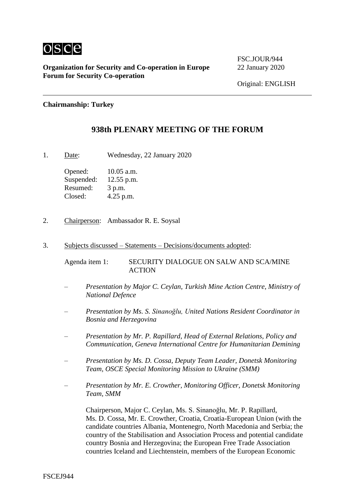

**Organization for Security and Co-operation in Europe** 22 January 2020 **Forum for Security Co-operation**

FSC.JOUR/944

## **Chairmanship: Turkey**

## **938th PLENARY MEETING OF THE FORUM**

1. Date: Wednesday, 22 January 2020

Opened: 10.05 a.m. Suspended: 12.55 p.m. Resumed: 3 p.m. Closed: 4.25 p.m.

- 2. Chairperson: Ambassador R. E. Soysal
- 3. Subjects discussed Statements Decisions/documents adopted:

Agenda item 1: SECURITY DIALOGUE ON SALW AND SCA/MINE **ACTION** 

- *– Presentation by Major C. Ceylan, Turkish Mine Action Centre, Ministry of National Defence*
- *– Presentation by Ms. S. Sinanoğlu, United Nations Resident Coordinator in Bosnia and Herzegovina*
- *– Presentation by Mr. P. Rapillard, Head of External Relations, Policy and Communication, Geneva International Centre for Humanitarian Demining*
- *– Presentation by Ms. D. Cossa, Deputy Team Leader, Donetsk Monitoring Team, OSCE Special Monitoring Mission to Ukraine (SMM)*
- *– Presentation by Mr. E. Crowther, Monitoring Officer, Donetsk Monitoring Team, SMM*

Chairperson, Major C. Ceylan, Ms. S. Sinanoğlu, Mr. P. Rapillard, Ms. D. Cossa, Mr. E. Crowther, Croatia, Croatia-European Union (with the candidate countries Albania, Montenegro, North Macedonia and Serbia; the country of the Stabilisation and Association Process and potential candidate country Bosnia and Herzegovina; the European Free Trade Association countries Iceland and Liechtenstein, members of the European Economic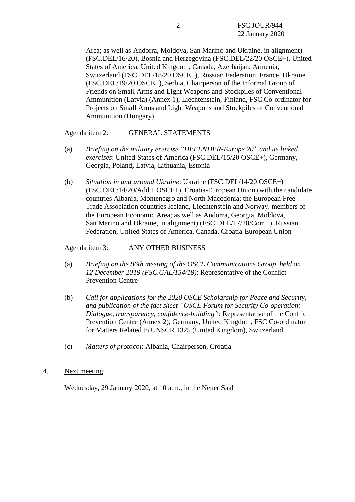Area; as well as Andorra, Moldova, San Marino and Ukraine, in alignment) (FSC.DEL/16/20), Bosnia and Herzegovina (FSC.DEL/22/20 OSCE+), United States of America, United Kingdom, Canada, Azerbaijan, Armenia, Switzerland (FSC.DEL/18/20 OSCE+), Russian Federation, France, Ukraine (FSC.DEL/19/20 OSCE+), Serbia, Chairperson of the Informal Group of Friends on Small Arms and Light Weapons and Stockpiles of Conventional Ammunition (Latvia) (Annex 1), Liechtenstein, Finland, FSC Co-ordinator for Projects on Small Arms and Light Weapons and Stockpiles of Conventional Ammunition (Hungary)

Agenda item 2: GENERAL STATEMENTS

- (a) *Briefing on the military exercise "DEFENDER-Europe 20" and its linked exercises*: United States of America (FSC.DEL/15/20 OSCE+), Germany, Georgia, Poland, Latvia, Lithuania, Estonia
- (b) *Situation in and around Ukraine*: Ukraine (FSC.DEL/14/20 OSCE+) (FSC.DEL/14/20/Add.1 OSCE+), Croatia-European Union (with the candidate countries Albania, Montenegro and North Macedonia; the European Free Trade Association countries Iceland, Liechtenstein and Norway, members of the European Economic Area; as well as Andorra, Georgia, Moldova, San Marino and Ukraine, in alignment) (FSC.DEL/17/20/Corr.1), Russian Federation, United States of America, Canada, Croatia-European Union

Agenda item 3: ANY OTHER BUSINESS

- (a) *Briefing on the 86th meeting of the OSCE Communications Group, held on 12 December 2019 (FSC.GAL/154/19)*: Representative of the Conflict Prevention Centre
- (b) *Call for applications for the 2020 OSCE Scholarship for Peace and Security, and publication of the fact sheet "OSCE Forum for Security Co-operation: Dialogue, transparency, confidence-building"*: Representative of the Conflict Prevention Centre (Annex 2), Germany, United Kingdom, FSC Co-ordinator for Matters Related to UNSCR 1325 (United Kingdom), Switzerland
- (c) *Matters of protocol*: Albania, Chairperson, Croatia
- 4. Next meeting:

Wednesday, 29 January 2020, at 10 a.m., in the Neuer Saal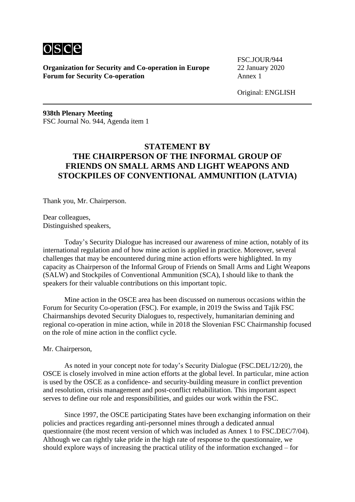

**Organization for Security and Co-operation in Europe** 22 January 2020 **Forum for Security Co-operation** Annex 1

FSC.JOUR/944

Original: ENGLISH

**938th Plenary Meeting** FSC Journal No. 944, Agenda item 1

# **STATEMENT BY THE CHAIRPERSON OF THE INFORMAL GROUP OF FRIENDS ON SMALL ARMS AND LIGHT WEAPONS AND STOCKPILES OF CONVENTIONAL AMMUNITION (LATVIA)**

Thank you, Mr. Chairperson.

Dear colleagues, Distinguished speakers,

Today's Security Dialogue has increased our awareness of mine action, notably of its international regulation and of how mine action is applied in practice. Moreover, several challenges that may be encountered during mine action efforts were highlighted. In my capacity as Chairperson of the Informal Group of Friends on Small Arms and Light Weapons (SALW) and Stockpiles of Conventional Ammunition (SCA), I should like to thank the speakers for their valuable contributions on this important topic.

Mine action in the OSCE area has been discussed on numerous occasions within the Forum for Security Co-operation (FSC). For example, in 2019 the Swiss and Tajik FSC Chairmanships devoted Security Dialogues to, respectively, humanitarian demining and regional co-operation in mine action, while in 2018 the Slovenian FSC Chairmanship focused on the role of mine action in the conflict cycle.

### Mr. Chairperson,

As noted in your concept note for today's Security Dialogue (FSC.DEL/12/20), the OSCE is closely involved in mine action efforts at the global level. In particular, mine action is used by the OSCE as a confidence- and security-building measure in conflict prevention and resolution, crisis management and post-conflict rehabilitation. This important aspect serves to define our role and responsibilities, and guides our work within the FSC.

Since 1997, the OSCE participating States have been exchanging information on their policies and practices regarding anti-personnel mines through a dedicated annual questionnaire (the most recent version of which was included as Annex 1 to FSC.DEC/7/04). Although we can rightly take pride in the high rate of response to the questionnaire, we should explore ways of increasing the practical utility of the information exchanged – for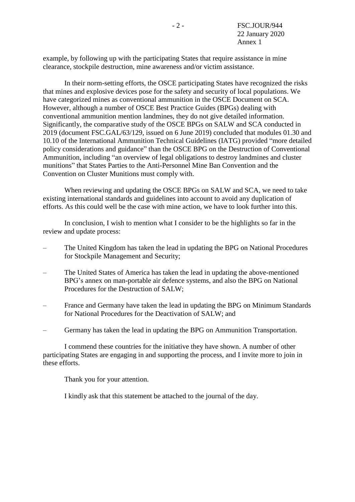example, by following up with the participating States that require assistance in mine clearance, stockpile destruction, mine awareness and/or victim assistance.

In their norm-setting efforts, the OSCE participating States have recognized the risks that mines and explosive devices pose for the safety and security of local populations. We have categorized mines as conventional ammunition in the OSCE Document on SCA. However, although a number of OSCE Best Practice Guides (BPGs) dealing with conventional ammunition mention landmines, they do not give detailed information. Significantly, the comparative study of the OSCE BPGs on SALW and SCA conducted in 2019 (document FSC.GAL/63/129, issued on 6 June 2019) concluded that modules 01.30 and 10.10 of the International Ammunition Technical Guidelines (IATG) provided "more detailed policy considerations and guidance" than the OSCE BPG on the Destruction of Conventional Ammunition, including "an overview of legal obligations to destroy landmines and cluster munitions" that States Parties to the Anti-Personnel Mine Ban Convention and the Convention on Cluster Munitions must comply with.

When reviewing and updating the OSCE BPGs on SALW and SCA, we need to take existing international standards and guidelines into account to avoid any duplication of efforts. As this could well be the case with mine action, we have to look further into this.

In conclusion, I wish to mention what I consider to be the highlights so far in the review and update process:

- The United Kingdom has taken the lead in updating the BPG on National Procedures for Stockpile Management and Security;
- The United States of America has taken the lead in updating the above-mentioned BPG's annex on man-portable air defence systems, and also the BPG on National Procedures for the Destruction of SALW;
- France and Germany have taken the lead in updating the BPG on Minimum Standards for National Procedures for the Deactivation of SALW; and
- Germany has taken the lead in updating the BPG on Ammunition Transportation.

I commend these countries for the initiative they have shown. A number of other participating States are engaging in and supporting the process, and I invite more to join in these efforts.

Thank you for your attention.

I kindly ask that this statement be attached to the journal of the day.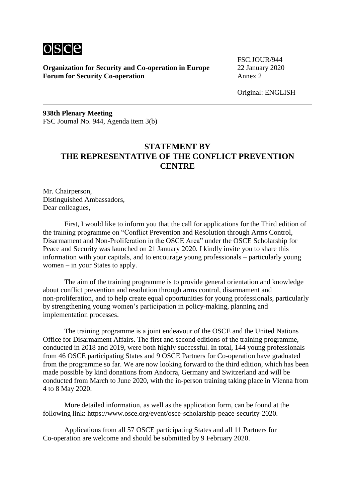

**Organization for Security and Co-operation in Europe** 22 January 2020 **Forum for Security Co-operation** Annex 2

FSC.JOUR/944

Original: ENGLISH

**938th Plenary Meeting** FSC Journal No. 944, Agenda item 3(b)

# **STATEMENT BY THE REPRESENTATIVE OF THE CONFLICT PREVENTION CENTRE**

Mr. Chairperson, Distinguished Ambassadors, Dear colleagues,

First, I would like to inform you that the call for applications for the Third edition of the training programme on "Conflict Prevention and Resolution through Arms Control, Disarmament and Non-Proliferation in the OSCE Area" under the OSCE Scholarship for Peace and Security was launched on 21 January 2020. I kindly invite you to share this information with your capitals, and to encourage young professionals – particularly young women – in your States to apply.

The aim of the training programme is to provide general orientation and knowledge about conflict prevention and resolution through arms control, disarmament and non-proliferation, and to help create equal opportunities for young professionals, particularly by strengthening young women's participation in policy-making, planning and implementation processes.

The training programme is a joint endeavour of the OSCE and the United Nations Office for Disarmament Affairs. The first and second editions of the training programme, conducted in 2018 and 2019, were both highly successful. In total, 144 young professionals from 46 OSCE participating States and 9 OSCE Partners for Co-operation have graduated from the programme so far. We are now looking forward to the third edition, which has been made possible by kind donations from Andorra, Germany and Switzerland and will be conducted from March to June 2020, with the in-person training taking place in Vienna from 4 to 8 May 2020.

More detailed information, as well as the application form, can be found at the following link: https://www.osce.org/event/osce-scholarship-peace-security-2020.

Applications from all 57 OSCE participating States and all 11 Partners for Co-operation are welcome and should be submitted by 9 February 2020.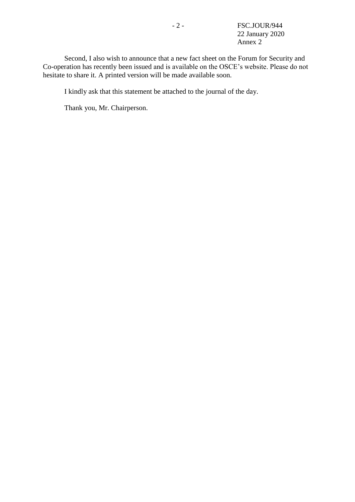- 2 - FSC.JOUR/944 22 January 2020 Annex 2

Second, I also wish to announce that a new fact sheet on the Forum for Security and Co-operation has recently been issued and is available on the OSCE's website. Please do not hesitate to share it. A printed version will be made available soon.

I kindly ask that this statement be attached to the journal of the day.

Thank you, Mr. Chairperson.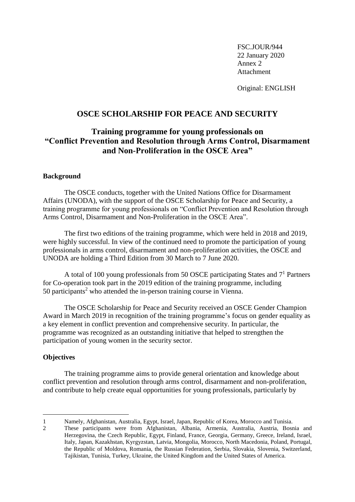FSC.JOUR/944 22 January 2020 Annex 2 Attachment

Original: ENGLISH

## **OSCE SCHOLARSHIP FOR PEACE AND SECURITY**

# **Training programme for young professionals on "Conflict Prevention and Resolution through Arms Control, Disarmament and Non-Proliferation in the OSCE Area"**

#### **Background**

The OSCE conducts, together with the United Nations Office for Disarmament Affairs (UNODA), with the support of the OSCE Scholarship for Peace and Security, a training programme for young professionals on "Conflict Prevention and Resolution through Arms Control, Disarmament and Non-Proliferation in the OSCE Area".

The first two editions of the training programme, which were held in 2018 and 2019, were highly successful. In view of the continued need to promote the participation of young professionals in arms control, disarmament and non-proliferation activities, the OSCE and UNODA are holding a Third Edition from 30 March to 7 June 2020.

A total of 100 young professionals from 50 OSCE participating States and 7<sup>1</sup> Partners for Co-operation took part in the 2019 edition of the training programme, including  $50$  participants<sup>2</sup> who attended the in-person training course in Vienna.

The OSCE Scholarship for Peace and Security received an OSCE Gender Champion Award in March 2019 in recognition of the training programme's focus on gender equality as a key element in conflict prevention and comprehensive security. In particular, the programme was recognized as an outstanding initiative that helped to strengthen the participation of young women in the security sector.

### **Objectives**

1

The training programme aims to provide general orientation and knowledge about conflict prevention and resolution through arms control, disarmament and non-proliferation, and contribute to help create equal opportunities for young professionals, particularly by

<sup>1</sup> Namely, Afghanistan, Australia, Egypt, Israel, Japan, Republic of Korea, Morocco and Tunisia.

<sup>2</sup> These participants were from Afghanistan, Albania, Armenia, Australia, Austria, Bosnia and Herzegovina, the Czech Republic, Egypt, Finland, France, Georgia, Germany, Greece, Ireland, Israel, Italy, Japan, Kazakhstan, Kyrgyzstan, Latvia, Mongolia, Morocco, North Macedonia, Poland, Portugal, the Republic of Moldova, Romania, the Russian Federation, Serbia, Slovakia, Slovenia, Switzerland, Tajikistan, Tunisia, Turkey, Ukraine, the United Kingdom and the United States of America.